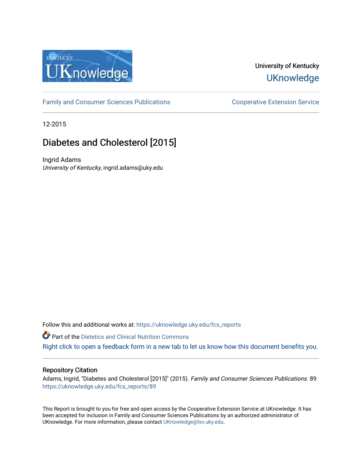

## University of Kentucky **UKnowledge**

[Family and Consumer Sciences Publications](https://uknowledge.uky.edu/fcs_reports) **Consumer Science Extension Service** Cooperative Extension Service

12-2015

## Diabetes and Cholesterol [2015]

Ingrid Adams University of Kentucky, ingrid.adams@uky.edu

Follow this and additional works at: [https://uknowledge.uky.edu/fcs\\_reports](https://uknowledge.uky.edu/fcs_reports?utm_source=uknowledge.uky.edu%2Ffcs_reports%2F89&utm_medium=PDF&utm_campaign=PDFCoverPages) 

Part of the [Dietetics and Clinical Nutrition Commons](http://network.bepress.com/hgg/discipline/662?utm_source=uknowledge.uky.edu%2Ffcs_reports%2F89&utm_medium=PDF&utm_campaign=PDFCoverPages)  [Right click to open a feedback form in a new tab to let us know how this document benefits you.](https://uky.az1.qualtrics.com/jfe/form/SV_9mq8fx2GnONRfz7)

#### Repository Citation

Adams, Ingrid, "Diabetes and Cholesterol [2015]" (2015). Family and Consumer Sciences Publications. 89. [https://uknowledge.uky.edu/fcs\\_reports/89](https://uknowledge.uky.edu/fcs_reports/89?utm_source=uknowledge.uky.edu%2Ffcs_reports%2F89&utm_medium=PDF&utm_campaign=PDFCoverPages)

This Report is brought to you for free and open access by the Cooperative Extension Service at UKnowledge. It has been accepted for inclusion in Family and Consumer Sciences Publications by an authorized administrator of UKnowledge. For more information, please contact [UKnowledge@lsv.uky.edu](mailto:UKnowledge@lsv.uky.edu).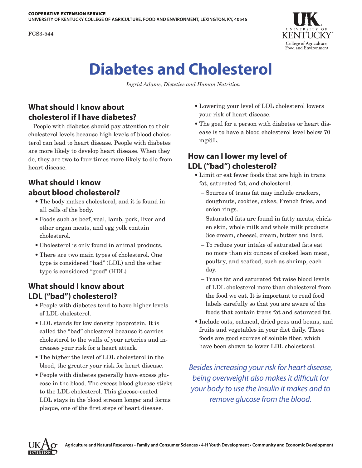FCS3-544



# **Diabetes and Cholesterol**

*Ingrid Adams, Dietetics and Human Nutrition*

## **What should I know about cholesterol if I have diabetes?**

People with diabetes should pay attention to their cholesterol levels because high levels of blood cholesterol can lead to heart disease. People with diabetes are more likely to develop heart disease. When they do, they are two to four times more likely to die from heart disease.

## **What should I know about blood cholesterol?**

- The body makes cholesterol, and it is found in all cells of the body.
- Foods such as beef, veal, lamb, pork, liver and other organ meats, and egg yolk contain cholesterol.
- Cholesterol is only found in animal products.
- There are two main types of cholesterol. One type is considered "bad" (LDL) and the other type is considered "good" (HDL).

#### **What should I know about LDL ("bad") cholesterol?**

- People with diabetes tend to have higher levels of LDL cholesterol.
- LDL stands for low density lipoprotein. It is called the "bad" cholesterol because it carries cholesterol to the walls of your arteries and increases your risk for a heart attack.
- The higher the level of LDL cholesterol in the blood, the greater your risk for heart disease.
- People with diabetes generally have excess glucose in the blood. The excess blood glucose sticks to the LDL cholesterol. This glucose-coated LDL stays in the blood stream longer and forms plaque, one of the first steps of heart disease.
- Lowering your level of LDL cholesterol lowers your risk of heart disease.
- The goal for a person with diabetes or heart disease is to have a blood cholesterol level below 70 mg/dL.

## **How can I lower my level of LDL ("bad") cholesterol?**

- Limit or eat fewer foods that are high in trans fat, saturated fat, and cholesterol.
	- − Sources of trans fat may include crackers, doughnuts, cookies, cakes, French fries, and onion rings.
	- − Saturated fats are found in fatty meats, chicken skin, whole milk and whole milk products (ice cream, cheese), cream, butter and lard.
	- − To reduce your intake of saturated fats eat no more than six ounces of cooked lean meat, poultry, and seafood, such as shrimp, each day.
	- − Trans fat and saturated fat raise blood levels of LDL cholesterol more than cholesterol from the food we eat. It is important to read food labels carefully so that you are aware of the foods that contain trans fat and saturated fat.
- Include oats, oatmeal, dried peas and beans, and fruits and vegetables in your diet daily. These foods are good sources of soluble fiber, which have been shown to lower LDL cholesterol.

*Besides increasing your risk for heart disease, being overweight also makes it difficult for your body to use the insulin it makes and to remove glucose from the blood.*

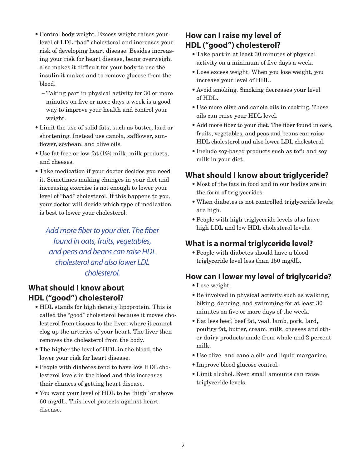- Control body weight. Excess weight raises your level of LDL "bad" cholesterol and increases your risk of developing heart disease. Besides increasing your risk for heart disease, being overweight also makes it difficult for your body to use the insulin it makes and to remove glucose from the blood.
	- − Taking part in physical activity for 30 or more minutes on five or more days a week is a good way to improve your health and control your weight.
- Limit the use of solid fats, such as butter, lard or shortening. Instead use canola, safflower, sunflower, soybean, and olive oils.
- Use fat free or low fat (1%) milk, milk products, and cheeses.
- Take medication if your doctor decides you need it. Sometimes making changes in your diet and increasing exercise is not enough to lower your level of "bad" cholesterol. If this happens to you, your doctor will decide which type of medication is best to lower your cholesterol.

*Add more fiber to your diet. The fiber found in oats, fruits, vegetables, and peas and beans can raise HDL cholesterol and also lower LDL cholesterol.*

#### **What should I know about HDL ("good") cholesterol?**

- HDL stands for high density lipoprotein. This is called the "good" cholesterol because it moves cholesterol from tissues to the liver, where it cannot clog up the arteries of your heart. The liver then removes the cholesterol from the body.
- The higher the level of HDL in the blood, the lower your risk for heart disease.
- People with diabetes tend to have low HDL cholesterol levels in the blood and this increases their chances of getting heart disease.
- You want your level of HDL to be "high" or above 60 mg/dL. This level protects against heart disease.

## **How can I raise my level of HDL ("good") cholesterol?**

- Take part in at least 30 minutes of physical activity on a minimum of five days a week.
- Lose excess weight. When you lose weight, you increase your level of HDL.
- Avoid smoking. Smoking decreases your level of HDL.
- Use more olive and canola oils in cooking. These oils can raise your HDL level.
- Add more fiber to your diet. The fiber found in oats, fruits, vegetables, and peas and beans can raise HDL cholesterol and also lower LDL cholesterol.
- Include soy-based products such as tofu and soy milk in your diet.

## **What should I know about triglyceride?**

- Most of the fats in food and in our bodies are in the form of triglycerides.
- When diabetes is not controlled triglyceride levels are high.
- People with high triglyceride levels also have high LDL and low HDL cholesterol levels.

#### **What is a normal triglyceride level?**

• People with diabetes should have a blood triglyceride level less than 150 mg/dL.

#### **How can I lower my level of triglyceride?**

- Lose weight.
- Be involved in physical activity such as walking, biking, dancing, and swimming for at least 30 minutes on five or more days of the week.
- Eat less beef, beef fat, veal, lamb, pork, lard, poultry fat, butter, cream, milk, cheeses and other dairy products made from whole and 2 percent milk.
- Use olive and canola oils and liquid margarine.
- Improve blood glucose control.
- Limit alcohol. Even small amounts can raise triglyceride levels.